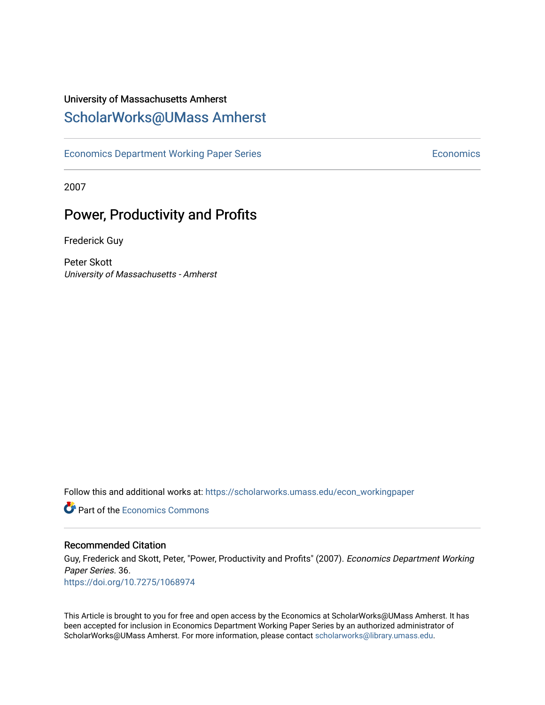### University of Massachusetts Amherst [ScholarWorks@UMass Amherst](https://scholarworks.umass.edu/)

[Economics Department Working Paper Series](https://scholarworks.umass.edu/econ_workingpaper) **Economics** Economics

2007

## Power, Productivity and Profits

Frederick Guy

Peter Skott University of Massachusetts - Amherst

Follow this and additional works at: [https://scholarworks.umass.edu/econ\\_workingpaper](https://scholarworks.umass.edu/econ_workingpaper?utm_source=scholarworks.umass.edu%2Fecon_workingpaper%2F36&utm_medium=PDF&utm_campaign=PDFCoverPages) 

**C** Part of the [Economics Commons](http://network.bepress.com/hgg/discipline/340?utm_source=scholarworks.umass.edu%2Fecon_workingpaper%2F36&utm_medium=PDF&utm_campaign=PDFCoverPages)

#### Recommended Citation

Guy, Frederick and Skott, Peter, "Power, Productivity and Profits" (2007). Economics Department Working Paper Series. 36. <https://doi.org/10.7275/1068974>

This Article is brought to you for free and open access by the Economics at ScholarWorks@UMass Amherst. It has been accepted for inclusion in Economics Department Working Paper Series by an authorized administrator of ScholarWorks@UMass Amherst. For more information, please contact [scholarworks@library.umass.edu.](mailto:scholarworks@library.umass.edu)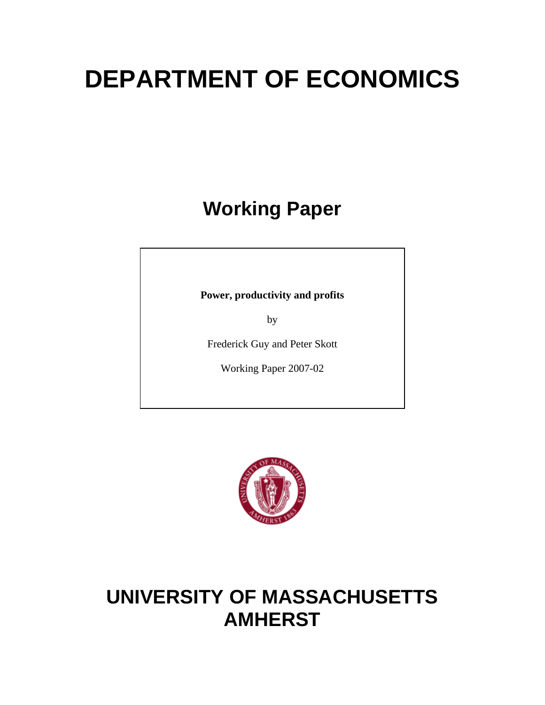# **DEPARTMENT OF ECONOMICS**

# **Working Paper**

**Power, productivity and profits** 

by

Frederick Guy and Peter Skott

Working Paper 2007-02



# **UNIVERSITY OF MASSACHUSETTS AMHERST**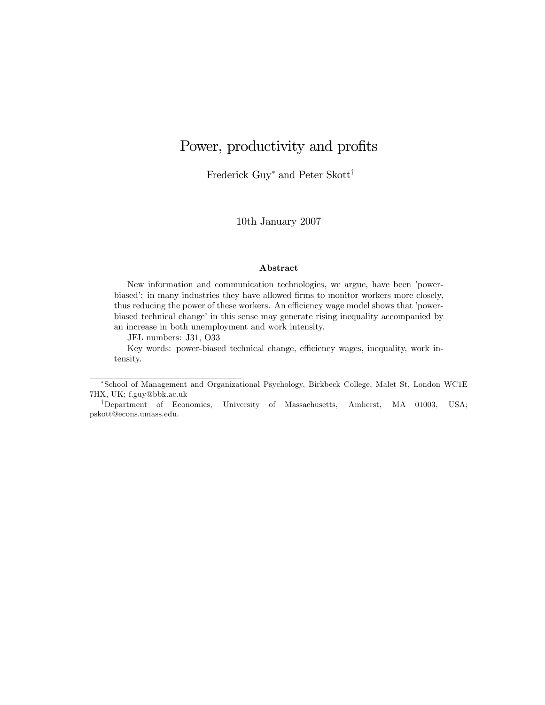### Power, productivity and profits

Frederick Guy<sup>\*</sup> and Peter Skott<sup>†</sup>

10th January 2007

#### Abstract

New information and communication technologies, we argue, have been 'powerbiased: in many industries they have allowed firms to monitor workers more closely, thus reducing the power of these workers. An efficiency wage model shows that 'powerbiased technical change' in this sense may generate rising inequality accompanied by an increase in both unemployment and work intensity.

JEL numbers: J31, O33

Key words: power-biased technical change, efficiency wages, inequality, work intensity.

<sup>\*</sup>School of Management and Organizational Psychology, Birkbeck College, Malet St, London WC1E 7HX, UK; f.guy@bbk.ac.uk

<sup>&</sup>lt;sup>†</sup>Department of Economics, University of Massachusetts, Amherst, MA 01003, USA; pskott@econs.umass.edu.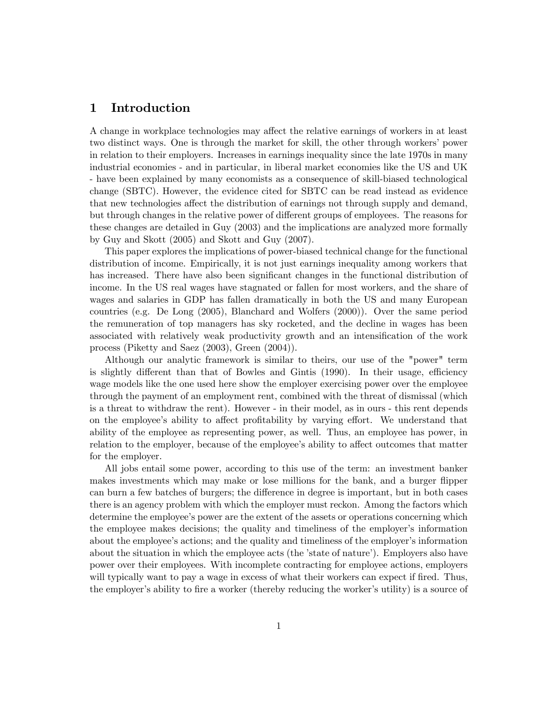#### 1 Introduction

A change in workplace technologies may affect the relative earnings of workers in at least two distinct ways. One is through the market for skill, the other through workers' power in relation to their employers. Increases in earnings inequality since the late 1970s in many industrial economies - and in particular, in liberal market economies like the US and UK - have been explained by many economists as a consequence of skill-biased technological change (SBTC). However, the evidence cited for SBTC can be read instead as evidence that new technologies affect the distribution of earnings not through supply and demand, but through changes in the relative power of different groups of employees. The reasons for these changes are detailed in Guy (2003) and the implications are analyzed more formally by Guy and Skott (2005) and Skott and Guy (2007).

This paper explores the implications of power-biased technical change for the functional distribution of income. Empirically, it is not just earnings inequality among workers that has increased. There have also been significant changes in the functional distribution of income. In the US real wages have stagnated or fallen for most workers, and the share of wages and salaries in GDP has fallen dramatically in both the US and many European countries (e.g. De Long (2005), Blanchard and Wolfers (2000)). Over the same period the remuneration of top managers has sky rocketed, and the decline in wages has been associated with relatively weak productivity growth and an intensification of the work process (Piketty and Saez (2003), Green (2004)).

Although our analytic framework is similar to theirs, our use of the "power" term is slightly different than that of Bowles and Gintis  $(1990)$ . In their usage, efficiency wage models like the one used here show the employer exercising power over the employee through the payment of an employment rent, combined with the threat of dismissal (which is a threat to withdraw the rent). However - in their model, as in ours - this rent depends on the employee's ability to affect profitability by varying effort. We understand that ability of the employee as representing power, as well. Thus, an employee has power, in relation to the employer, because of the employee's ability to affect outcomes that matter for the employer.

All jobs entail some power, according to this use of the term: an investment banker makes investments which may make or lose millions for the bank, and a burger flipper can burn a few batches of burgers; the difference in degree is important, but in both cases there is an agency problem with which the employer must reckon. Among the factors which determine the employee's power are the extent of the assets or operations concerning which the employee makes decisions; the quality and timeliness of the employer's information about the employee's actions; and the quality and timeliness of the employer's information about the situation in which the employee acts (the 'state of nature'). Employers also have power over their employees. With incomplete contracting for employee actions, employers will typically want to pay a wage in excess of what their workers can expect if fired. Thus, the employer's ability to fire a worker (thereby reducing the worker's utility) is a source of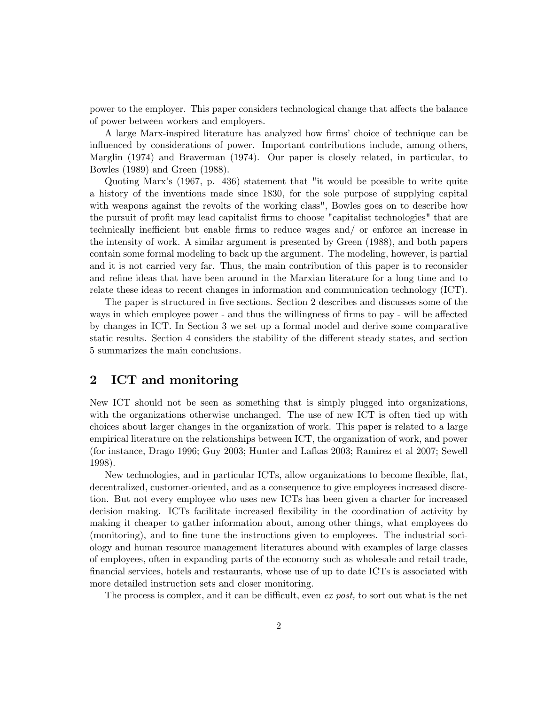power to the employer. This paper considers technological change that affects the balance of power between workers and employers.

A large Marx-inspired literature has analyzed how firms' choice of technique can be influenced by considerations of power. Important contributions include, among others, Marglin (1974) and Braverman (1974). Our paper is closely related, in particular, to Bowles (1989) and Green (1988).

Quoting Marxís (1967, p. 436) statement that "it would be possible to write quite a history of the inventions made since 1830, for the sole purpose of supplying capital with weapons against the revolts of the working class", Bowles goes on to describe how the pursuit of profit may lead capitalist firms to choose "capitalist technologies" that are technically inefficient but enable firms to reduce wages and/ or enforce an increase in the intensity of work. A similar argument is presented by Green (1988), and both papers contain some formal modeling to back up the argument. The modeling, however, is partial and it is not carried very far. Thus, the main contribution of this paper is to reconsider and refine ideas that have been around in the Marxian literature for a long time and to relate these ideas to recent changes in information and communication technology (ICT).

The paper is structured in five sections. Section 2 describes and discusses some of the ways in which employee power - and thus the willingness of firms to pay - will be affected by changes in ICT. In Section 3 we set up a formal model and derive some comparative static results. Section 4 considers the stability of the different steady states, and section 5 summarizes the main conclusions.

#### 2 ICT and monitoring

New ICT should not be seen as something that is simply plugged into organizations, with the organizations otherwise unchanged. The use of new ICT is often tied up with choices about larger changes in the organization of work. This paper is related to a large empirical literature on the relationships between ICT, the organization of work, and power (for instance, Drago 1996; Guy 2003; Hunter and Lafkas 2003; Ramirez et al 2007; Sewell 1998).

New technologies, and in particular ICTs, allow organizations to become flexible, flat, decentralized, customer-oriented, and as a consequence to give employees increased discretion. But not every employee who uses new ICTs has been given a charter for increased decision making. ICTs facilitate increased flexibility in the coordination of activity by making it cheaper to gather information about, among other things, what employees do (monitoring), and to fine tune the instructions given to employees. The industrial sociology and human resource management literatures abound with examples of large classes of employees, often in expanding parts of the economy such as wholesale and retail trade, Önancial services, hotels and restaurants, whose use of up to date ICTs is associated with more detailed instruction sets and closer monitoring.

The process is complex, and it can be difficult, even ex post, to sort out what is the net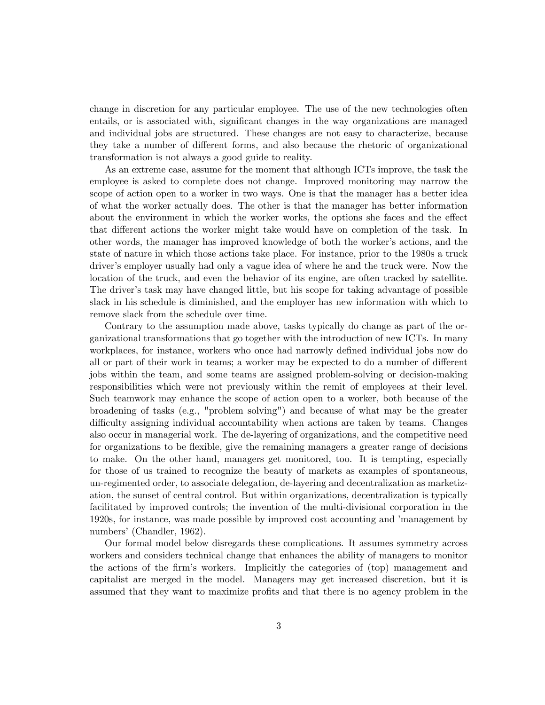change in discretion for any particular employee. The use of the new technologies often entails, or is associated with, significant changes in the way organizations are managed and individual jobs are structured. These changes are not easy to characterize, because they take a number of different forms, and also because the rhetoric of organizational transformation is not always a good guide to reality.

As an extreme case, assume for the moment that although ICTs improve, the task the employee is asked to complete does not change. Improved monitoring may narrow the scope of action open to a worker in two ways. One is that the manager has a better idea of what the worker actually does. The other is that the manager has better information about the environment in which the worker works, the options she faces and the effect that different actions the worker might take would have on completion of the task. In other words, the manager has improved knowledge of both the worker's actions, and the state of nature in which those actions take place. For instance, prior to the 1980s a truck driver's employer usually had only a vague idea of where he and the truck were. Now the location of the truck, and even the behavior of its engine, are often tracked by satellite. The driver's task may have changed little, but his scope for taking advantage of possible slack in his schedule is diminished, and the employer has new information with which to remove slack from the schedule over time.

Contrary to the assumption made above, tasks typically do change as part of the organizational transformations that go together with the introduction of new ICTs. In many workplaces, for instance, workers who once had narrowly defined individual jobs now do all or part of their work in teams; a worker may be expected to do a number of different jobs within the team, and some teams are assigned problem-solving or decision-making responsibilities which were not previously within the remit of employees at their level. Such teamwork may enhance the scope of action open to a worker, both because of the broadening of tasks (e.g., "problem solving") and because of what may be the greater difficulty assigning individual accountability when actions are taken by teams. Changes also occur in managerial work. The de-layering of organizations, and the competitive need for organizations to be áexible, give the remaining managers a greater range of decisions to make. On the other hand, managers get monitored, too. It is tempting, especially for those of us trained to recognize the beauty of markets as examples of spontaneous, un-regimented order, to associate delegation, de-layering and decentralization as marketization, the sunset of central control. But within organizations, decentralization is typically facilitated by improved controls; the invention of the multi-divisional corporation in the 1920s, for instance, was made possible by improved cost accounting and ímanagement by numbers' (Chandler, 1962).

Our formal model below disregards these complications. It assumes symmetry across workers and considers technical change that enhances the ability of managers to monitor the actions of the firm's workers. Implicitly the categories of (top) management and capitalist are merged in the model. Managers may get increased discretion, but it is assumed that they want to maximize profits and that there is no agency problem in the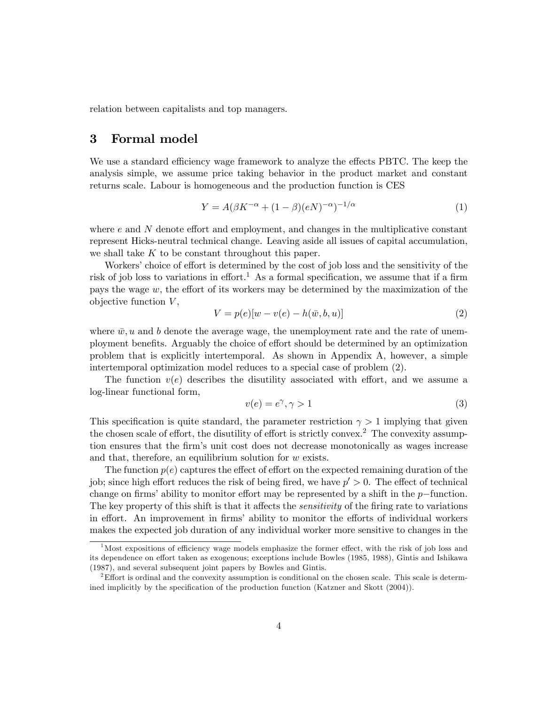relation between capitalists and top managers.

#### 3 Formal model

We use a standard efficiency wage framework to analyze the effects PBTC. The keep the analysis simple, we assume price taking behavior in the product market and constant returns scale. Labour is homogeneous and the production function is CES

$$
Y = A(\beta K^{-\alpha} + (1 - \beta)(eN)^{-\alpha})^{-1/\alpha}
$$
 (1)

where  $e$  and  $N$  denote effort and employment, and changes in the multiplicative constant represent Hicks-neutral technical change. Leaving aside all issues of capital accumulation, we shall take  $K$  to be constant throughout this paper.

Workers' choice of effort is determined by the cost of job loss and the sensitivity of the risk of job loss to variations in effort.<sup>1</sup> As a formal specification, we assume that if a firm pays the wage  $w$ , the effort of its workers may be determined by the maximization of the objective function  $V$ ,

$$
V = p(e)[w - v(e) - h(\bar{w}, b, u)]
$$
 (2)

where  $\bar{w}, u$  and b denote the average wage, the unemployment rate and the rate of unemployment benefits. Arguably the choice of effort should be determined by an optimization problem that is explicitly intertemporal. As shown in Appendix A, however, a simple intertemporal optimization model reduces to a special case of problem (2).

The function  $v(e)$  describes the disutility associated with effort, and we assume a log-linear functional form,

$$
v(e) = e^{\gamma}, \gamma > 1 \tag{3}
$$

This specification is quite standard, the parameter restriction  $\gamma > 1$  implying that given the chosen scale of effort, the disutility of effort is strictly convex.<sup>2</sup> The convexity assumption ensures that the firm's unit cost does not decrease monotonically as wages increase and that, therefore, an equilibrium solution for  $w$  exists.

The function  $p(e)$  captures the effect of effort on the expected remaining duration of the job; since high effort reduces the risk of being fired, we have  $p' > 0$ . The effect of technical change on firms' ability to monitor effort may be represented by a shift in the  $p$ -function. The key property of this shift is that it affects the *sensitivity* of the firing rate to variations in effort. An improvement in firms' ability to monitor the efforts of individual workers makes the expected job duration of any individual worker more sensitive to changes in the

<sup>&</sup>lt;sup>1</sup>Most expositions of efficiency wage models emphasize the former effect, with the risk of job loss and its dependence on effort taken as exogenous; exceptions include Bowles (1985, 1988), Gintis and Ishikawa (1987), and several subsequent joint papers by Bowles and Gintis.

 $2E$  Effort is ordinal and the convexity assumption is conditional on the chosen scale. This scale is determined implicitly by the specification of the production function (Katzner and Skott (2004)).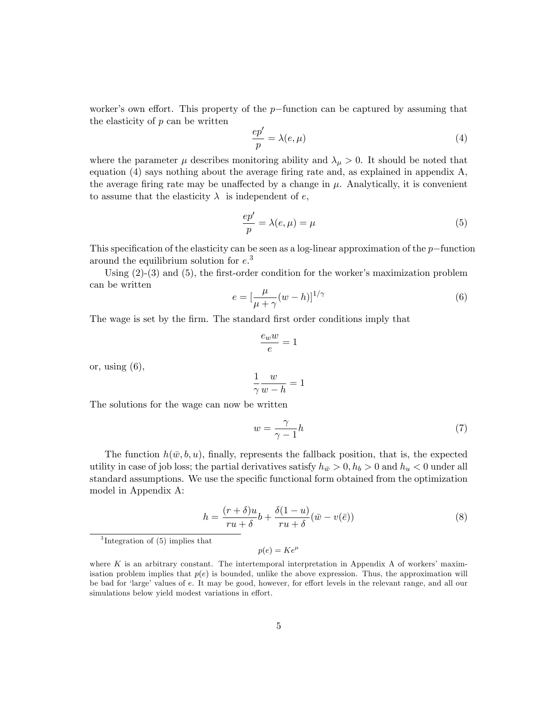worker's own effort. This property of the  $p$ -function can be captured by assuming that the elasticity of  $p$  can be written

$$
\frac{ep'}{p} = \lambda(e, \mu) \tag{4}
$$

where the parameter  $\mu$  describes monitoring ability and  $\lambda_{\mu} > 0$ . It should be noted that equation  $(4)$  says nothing about the average firing rate and, as explained in appendix A, the average firing rate may be unaffected by a change in  $\mu$ . Analytically, it is convenient to assume that the elasticity  $\lambda$  is independent of e,

$$
\frac{ep'}{p} = \lambda(e, \mu) = \mu \tag{5}
$$

This specification of the elasticity can be seen as a log-linear approximation of the  $p$ -function around the equilibrium solution for  $e^3$ .

Using  $(2)-(3)$  and  $(5)$ , the first-order condition for the worker's maximization problem can be written

$$
e = \left[\frac{\mu}{\mu + \gamma}(w - h)\right]^{1/\gamma} \tag{6}
$$

The wage is set by the firm. The standard first order conditions imply that

$$
\frac{e_w w}{e} =
$$

= 1

or, using  $(6)$ ,

$$
\frac{1}{\gamma}\frac{w}{w-h}=1
$$

The solutions for the wage can now be written

$$
w = \frac{\gamma}{\gamma - 1}h\tag{7}
$$

The function  $h(\bar{w}, b, u)$ , finally, represents the fallback position, that is, the expected utility in case of job loss; the partial derivatives satisfy  $h_{\bar{w}} > 0$ ,  $h_b > 0$  and  $h_u < 0$  under all standard assumptions. We use the specific functional form obtained from the optimization model in Appendix A:

$$
h = \frac{(r+\delta)u}{ru+\delta}b + \frac{\delta(1-u)}{ru+\delta}(\bar{w}-v(\bar{e}))
$$
\n(8)

3 Integration of (5) implies that

$$
p(e) = Ke^{\mu}
$$

where  $K$  is an arbitrary constant. The intertemporal interpretation in Appendix A of workers' maximisation problem implies that  $p(e)$  is bounded, unlike the above expression. Thus, the approximation will be bad for 'large' values of e. It may be good, however, for effort levels in the relevant range, and all our simulations below yield modest variations in effort.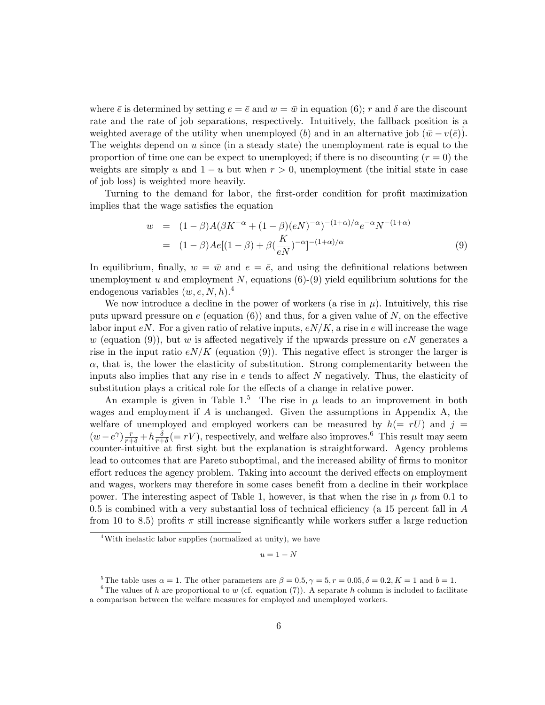where  $\bar{e}$  is determined by setting  $e = \bar{e}$  and  $w = \bar{w}$  in equation (6); r and  $\delta$  are the discount rate and the rate of job separations, respectively. Intuitively, the fallback position is a weighted average of the utility when unemployed (b) and in an alternative job  $(\bar{w} - v(\bar{e}))$ . The weights depend on  $u$  since (in a steady state) the unemployment rate is equal to the proportion of time one can be expect to unemployed; if there is no discounting  $(r = 0)$  the weights are simply u and  $1 - u$  but when  $r > 0$ , unemployment (the initial state in case of job loss) is weighted more heavily.

Turning to the demand for labor, the first-order condition for profit maximization implies that the wage satisfies the equation

$$
w = (1 - \beta)A(\beta K^{-\alpha} + (1 - \beta)(eN)^{-\alpha})^{-(1+\alpha)/\alpha}e^{-\alpha}N^{-(1+\alpha)}
$$
  
= 
$$
(1 - \beta)Ae[(1 - \beta) + \beta(\frac{K}{eN})^{-\alpha}]^{-(1+\alpha)/\alpha}
$$
 (9)

In equilibrium, finally,  $w = \bar{w}$  and  $e = \bar{e}$ , and using the definitional relations between unemployment u and employment  $N$ , equations  $(6)-(9)$  yield equilibrium solutions for the endogenous variables  $(w, e, N, h).$ <sup>4</sup>

We now introduce a decline in the power of workers (a rise in  $\mu$ ). Intuitively, this rise puts upward pressure on  $e$  (equation  $(6)$ ) and thus, for a given value of N, on the effective labor input eN. For a given ratio of relative inputs,  $eN/K$ , a rise in e will increase the wage w (equation (9)), but w is affected negatively if the upwards pressure on  $eN$  generates a rise in the input ratio  $eN/K$  (equation (9)). This negative effect is stronger the larger is  $\alpha$ , that is, the lower the elasticity of substitution. Strong complementarity between the inputs also implies that any rise in  $e$  tends to affect  $N$  negatively. Thus, the elasticity of substitution plays a critical role for the effects of a change in relative power.

An example is given in Table  $1<sup>5</sup>$ . The rise in  $\mu$  leads to an improvement in both wages and employment if A is unchanged. Given the assumptions in Appendix A, the welfare of unemployed and employed workers can be measured by  $h(= rU)$  and  $j =$  $(w-e^{\gamma})\frac{r}{r+\delta}+h\frac{\delta}{r+\delta}$  $\frac{\delta}{r+\delta}(=rV)$ , respectively, and welfare also improves.<sup>6</sup> This result may seem counter-intuitive at first sight but the explanation is straightforward. Agency problems lead to outcomes that are Pareto suboptimal, and the increased ability of firms to monitor effort reduces the agency problem. Taking into account the derived effects on employment and wages, workers may therefore in some cases benefit from a decline in their workplace power. The interesting aspect of Table 1, however, is that when the rise in  $\mu$  from 0.1 to  $0.5$  is combined with a very substantial loss of technical efficiency (a 15 percent fall in  $A$ from 10 to 8.5) profits  $\pi$  still increase significantly while workers suffer a large reduction

 $u=1-N$ 

<sup>&</sup>lt;sup>4</sup>With inelastic labor supplies (normalized at unity), we have

<sup>&</sup>lt;sup>5</sup>The table uses  $\alpha = 1$ . The other parameters are  $\beta = 0.5, \gamma = 5, r = 0.05, \delta = 0.2, K = 1$  and  $b = 1$ .

<sup>&</sup>lt;sup>6</sup>The values of h are proportional to w (cf. equation (7)). A separate h column is included to facilitate a comparison between the welfare measures for employed and unemployed workers.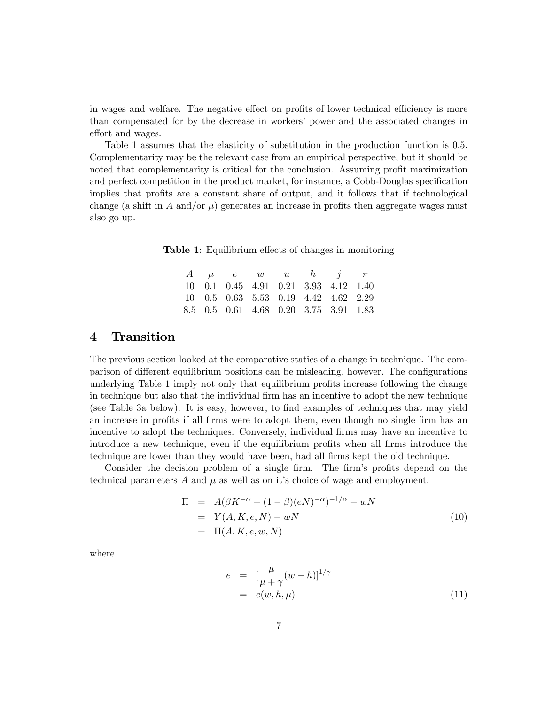in wages and welfare. The negative effect on profits of lower technical efficiency is more than compensated for by the decrease in workers' power and the associated changes in effort and wages.

Table 1 assumes that the elasticity of substitution in the production function is 0.5. Complementarity may be the relevant case from an empirical perspective, but it should be noted that complementarity is critical for the conclusion. Assuming profit maximization and perfect competition in the product market, for instance, a Cobb-Douglas specification implies that profits are a constant share of output, and it follows that if technological change (a shift in A and/or  $\mu$ ) generates an increase in profits then aggregate wages must also go up.

Table 1: Equilibrium effects of changes in monitoring

|  |  | $A \quad \mu \quad e \quad w \quad u \quad h \quad j \quad \pi$ |  |  |
|--|--|-----------------------------------------------------------------|--|--|
|  |  | 10 0.1 0.45 4.91 0.21 3.93 4.12 1.40                            |  |  |
|  |  | 10 0.5 0.63 5.53 0.19 4.42 4.62 2.29                            |  |  |
|  |  | 8.5 0.5 0.61 4.68 0.20 3.75 3.91 1.83                           |  |  |

#### 4 Transition

The previous section looked at the comparative statics of a change in technique. The comparison of different equilibrium positions can be misleading, however. The configurations underlying Table 1 imply not only that equilibrium profits increase following the change in technique but also that the individual Örm has an incentive to adopt the new technique (see Table 3a below). It is easy, however, to Önd examples of techniques that may yield an increase in profits if all firms were to adopt them, even though no single firm has an incentive to adopt the techniques. Conversely, individual firms may have an incentive to introduce a new technique, even if the equilibrium profits when all firms introduce the technique are lower than they would have been, had all Örms kept the old technique.

Consider the decision problem of a single firm. The firm's profits depend on the technical parameters  $A$  and  $\mu$  as well as on it's choice of wage and employment,

$$
\Pi = A(\beta K^{-\alpha} + (1 - \beta)(eN)^{-\alpha})^{-1/\alpha} - wN
$$
  
=  $Y(A, K, e, N) - wN$   
=  $\Pi(A, K, e, w, N)$  (10)

where

$$
e = \left[\frac{\mu}{\mu + \gamma}(w - h)\right]^{1/\gamma}
$$
  
=  $e(w, h, \mu)$  (11)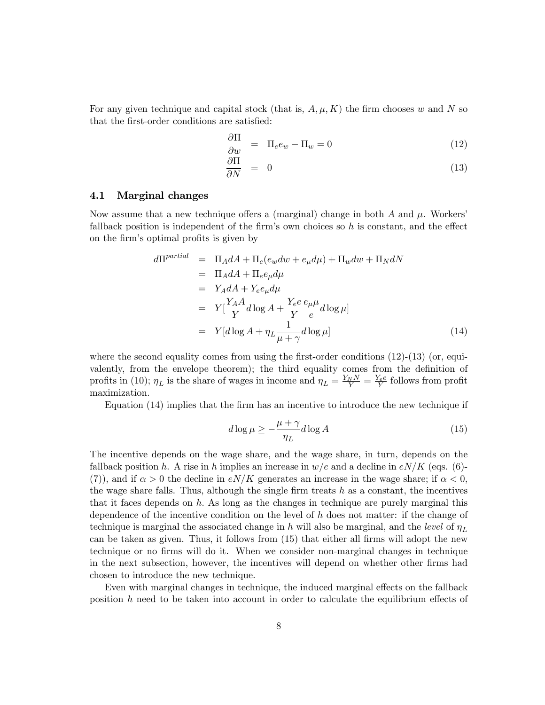For any given technique and capital stock (that is,  $A, \mu, K$ ) the firm chooses w and N so that the first-order conditions are satisfied:

$$
\frac{\partial \Pi}{\partial w} = \Pi_e e_w - \Pi_w = 0 \tag{12}
$$

$$
\frac{\partial \Pi}{\partial N} = 0 \tag{13}
$$

#### 4.1 Marginal changes

Now assume that a new technique offers a (marginal) change in both A and  $\mu$ . Workers' fallback position is independent of the firm's own choices so  $h$  is constant, and the effect on the firm's optimal profits is given by

$$
d\Pi^{partial} = \Pi_A dA + \Pi_e (e_w dw + e_\mu d\mu) + \Pi_w dw + \Pi_N dN
$$
  
\n
$$
= \Pi_A dA + \Pi_e e_\mu d\mu
$$
  
\n
$$
= Y_A dA + Y_e e_\mu d\mu
$$
  
\n
$$
= Y[\frac{Y_A A}{Y} d \log A + \frac{Y_e e}{Y} \frac{e_\mu \mu}{e} d \log \mu]
$$
  
\n
$$
= Y[d \log A + \eta_L \frac{1}{\mu + \gamma} d \log \mu]
$$
 (14)

where the second equality comes from using the first-order conditions  $(12)-(13)$  (or, equivalently, from the envelope theorem); the third equality comes from the definition of profits in (10);  $\eta_L$  is the share of wages in income and  $\eta_L = \frac{Y_N N}{Y} = \frac{Y_e e}{Y}$  follows from profit maximization.

Equation (14) implies that the Örm has an incentive to introduce the new technique if

$$
d\log\mu \ge -\frac{\mu+\gamma}{\eta_L}d\log A\tag{15}
$$

The incentive depends on the wage share, and the wage share, in turn, depends on the fallback position h. A rise in h implies an increase in  $w/e$  and a decline in  $eN/K$  (eqs. (6)-(7), and if  $\alpha > 0$  the decline in  $eN/K$  generates an increase in the wage share; if  $\alpha < 0$ , the wage share falls. Thus, although the single firm treats  $h$  as a constant, the incentives that it faces depends on  $h$ . As long as the changes in technique are purely marginal this dependence of the incentive condition on the level of  $h$  does not matter: if the change of technique is marginal the associated change in h will also be marginal, and the level of  $\eta_L$ can be taken as given. Thus, it follows from  $(15)$  that either all firms will adopt the new technique or no firms will do it. When we consider non-marginal changes in technique in the next subsection, however, the incentives will depend on whether other Örms had chosen to introduce the new technique.

Even with marginal changes in technique, the induced marginal effects on the fallback position  $h$  need to be taken into account in order to calculate the equilibrium effects of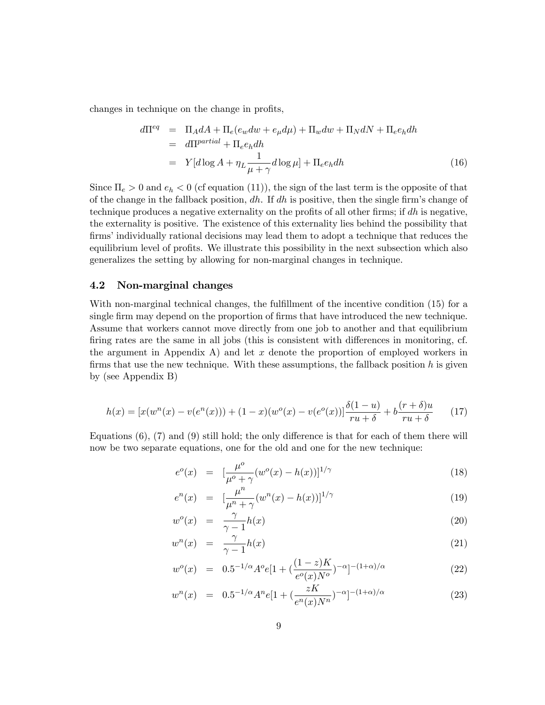changes in technique on the change in profits,

$$
d\Pi^{eq} = \Pi_A dA + \Pi_e(e_w dw + e_\mu d\mu) + \Pi_w dw + \Pi_N dN + \Pi_e e_h dh
$$
  
= 
$$
d\Pi^{partial} + \Pi_e e_h dh
$$
  
= 
$$
Y[d \log A + \eta_L \frac{1}{\mu + \gamma} d \log \mu] + \Pi_e e_h dh
$$
 (16)

Since  $\Pi_e > 0$  and  $e_h < 0$  (cf equation (11)), the sign of the last term is the opposite of that of the change in the fallback position,  $dh$ . If  $dh$  is positive, then the single firm's change of technique produces a negative externality on the profits of all other firms; if  $dh$  is negative, the externality is positive. The existence of this externality lies behind the possibility that firms' individually rational decisions may lead them to adopt a technique that reduces the equilibrium level of profits. We illustrate this possibility in the next subsection which also generalizes the setting by allowing for non-marginal changes in technique.

#### 4.2 Non-marginal changes

With non-marginal technical changes, the fulfillment of the incentive condition  $(15)$  for a single firm may depend on the proportion of firms that have introduced the new technique. Assume that workers cannot move directly from one job to another and that equilibrium firing rates are the same in all jobs (this is consistent with differences in monitoring, cf. the argument in Appendix A) and let  $x$  denote the proportion of employed workers in firms that use the new technique. With these assumptions, the fallback position  $h$  is given by (see Appendix B)

$$
h(x) = [x(w^{n}(x) - v(e^{n}(x))) + (1 - x)(w^{o}(x) - v(e^{o}(x)))\frac{\delta(1 - u)}{ru + \delta} + b\frac{(r + \delta)u}{ru + \delta}
$$
(17)

Equations  $(6)$ ,  $(7)$  and  $(9)$  still hold; the only difference is that for each of them there will now be two separate equations, one for the old and one for the new technique:

$$
e^{o}(x) = \left[ \frac{\mu^{o}}{\mu^{o} + \gamma} (w^{o}(x) - h(x)) \right]^{1/\gamma}
$$
 (18)

$$
e^{n}(x) = \left[ \frac{\mu^{n}}{\mu^{n} + \gamma} (w^{n}(x) - h(x)) \right]^{1/\gamma}
$$
 (19)

$$
w^o(x) = \frac{\gamma}{\gamma - 1} h(x) \tag{20}
$$

$$
w^n(x) = \frac{\gamma}{\gamma - 1} h(x) \tag{21}
$$

$$
w^{o}(x) = 0.5^{-1/\alpha} A^{o} e[1 + (\frac{(1-z)K}{e^{o}(x)N^{o}})^{-\alpha}]^{-(1+\alpha)/\alpha}
$$
 (22)

$$
w^{n}(x) = 0.5^{-1/\alpha} A^{n} e[1 + (\frac{zK}{e^{n}(x)N^{n}})^{-\alpha}]^{-(1+\alpha)/\alpha}
$$
 (23)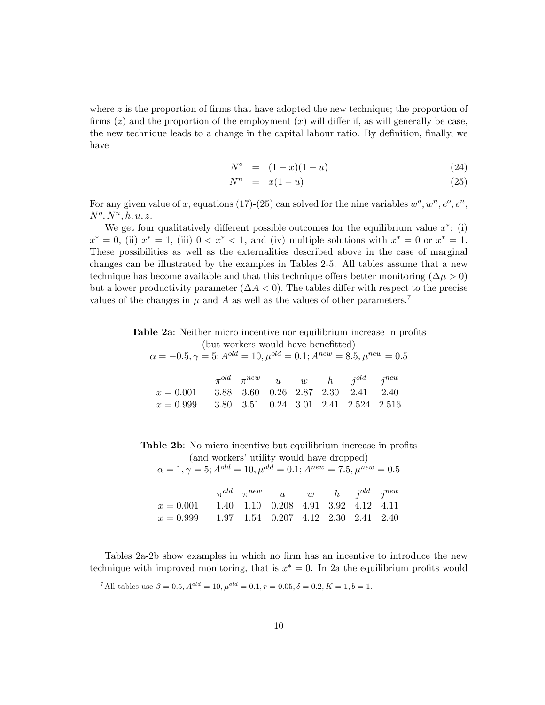where  $z$  is the proportion of firms that have adopted the new technique; the proportion of firms  $(z)$  and the proportion of the employment  $(x)$  will differ if, as will generally be case, the new technique leads to a change in the capital labour ratio. By definition, finally, we have

$$
N^o = (1-x)(1-u)
$$
 (24)

$$
N^n = x(1-u) \tag{25}
$$

For any given value of x, equations (17)-(25) can solved for the nine variables  $w^o, w^n, e^o, e^n$ ,  $N^o, N^n, h, u, z.$ 

We get four qualitatively different possible outcomes for the equilibrium value  $x^*$ : (i)  $x^* = 0$ , (ii)  $x^* = 1$ , (iii)  $0 < x^* < 1$ , and (iv) multiple solutions with  $x^* = 0$  or  $x^* = 1$ . These possibilities as well as the externalities described above in the case of marginal changes can be illustrated by the examples in Tables 2-5. All tables assume that a new technique has become available and that this technique offers better monitoring  $(\Delta \mu > 0)$ but a lower productivity parameter  $(\Delta A \langle 0)$ . The tables differ with respect to the precise values of the changes in  $\mu$  and A as well as the values of other parameters.<sup>7</sup>

Table 2a: Neither micro incentive nor equilibrium increase in profits (but workers would have benefitted)

 $\alpha = -0.5, \gamma = 5; A^{old} = 10, \mu^{old} = 0.1; A^{new} = 8.5, \mu^{new} = 0.5$ 

|                                                  |  |  | $\pi^{old}$ $\pi^{new}$ u w h $j^{old}$ $j^{new}$ |  |
|--------------------------------------------------|--|--|---------------------------------------------------|--|
| $x = 0.001$ 3.88 3.60 0.26 2.87 2.30 2.41 2.40   |  |  |                                                   |  |
| $x = 0.999$ 3.80 3.51 0.24 3.01 2.41 2.524 2.516 |  |  |                                                   |  |

Table 2b: No micro incentive but equilibrium increase in profits (and workers' utility would have dropped)

 $\alpha = 1, \gamma = 5; A^{old} = 10, \mu^{old} = 0.1; A^{new} = 7.5, \mu^{new} = 0.5$  $\pi^{old}$   $\pi$  $\begin{array}{ccc} new & u & w & h & j^{old} & j \end{array}$ new  $x = 0.001$  1.40 1.10 0.208 4.91 3.92 4.12 4.11

 $x = 0.999$  1.97 1.54 0.207 4.12 2.30 2.41 2.40

Tables 2a-2b show examples in which no firm has an incentive to introduce the new technique with improved monitoring, that is  $x^* = 0$ . In 2a the equilibrium profits would

<sup>&</sup>lt;sup>7</sup> All tables use  $\beta = 0.5$ ,  $A^{old} = 10$ ,  $\mu^{old} = 0.1$ ,  $r = 0.05$ ,  $\delta = 0.2$ ,  $K = 1$ ,  $b = 1$ .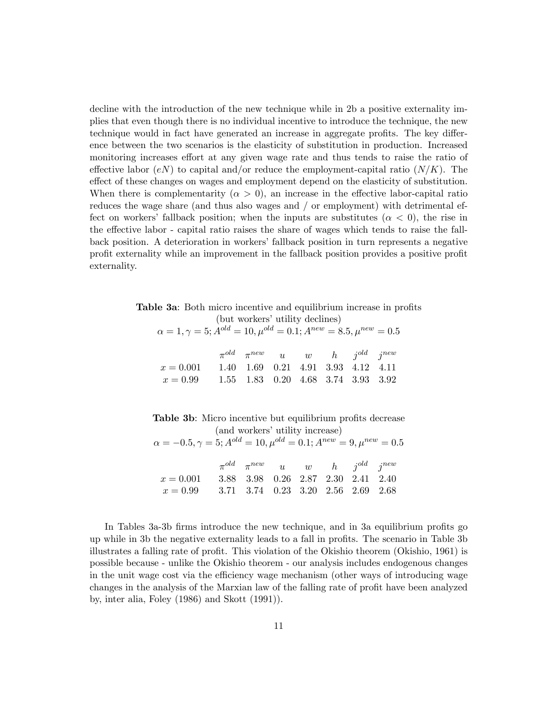decline with the introduction of the new technique while in 2b a positive externality implies that even though there is no individual incentive to introduce the technique, the new technique would in fact have generated an increase in aggregate profits. The key difference between the two scenarios is the elasticity of substitution in production. Increased monitoring increases effort at any given wage rate and thus tends to raise the ratio of effective labor (eN) to capital and/or reduce the employment-capital ratio  $(N/K)$ . The effect of these changes on wages and employment depend on the elasticity of substitution. When there is complementarity ( $\alpha > 0$ ), an increase in the effective labor-capital ratio reduces the wage share (and thus also wages and / or employment) with detrimental effect on workers' fallback position; when the inputs are substitutes  $(\alpha < 0)$ , the rise in the effective labor - capital ratio raises the share of wages which tends to raise the fallback position. A deterioration in workers' fallback position in turn represents a negative profit externality while an improvement in the fallback position provides a positive profit externality.

> **Table 3a:** Both micro incentive and equilibrium increase in profits (but workers' utility declines)

 $\alpha = 1, \gamma = 5; \hat{A}^{old} = 10, \mu^{old} = 0.1; A^{new} = 8.5, \mu^{new} = 0.5$ 

|                                                | $\pi^{old}$ $\pi^{new}$ u w h j <sup>old</sup> j <sup>new</sup> |  |  |  |
|------------------------------------------------|-----------------------------------------------------------------|--|--|--|
| $x = 0.001$ 1.40 1.69 0.21 4.91 3.93 4.12 4.11 |                                                                 |  |  |  |
| $x = 0.99$ 1.55 1.83 0.20 4.68 3.74 3.93 3.92  |                                                                 |  |  |  |

| <b>Table 3b</b> : Micro incentive but equilibrium profits decrease                       |      |                                                                 |                            |  |  |  |  |  |  |  |  |
|------------------------------------------------------------------------------------------|------|-----------------------------------------------------------------|----------------------------|--|--|--|--|--|--|--|--|
| (and workers' utility increase)                                                          |      |                                                                 |                            |  |  |  |  |  |  |  |  |
| $\alpha = -0.5, \gamma = 5; A^{old} = 10, \mu^{old} = 0.1; A^{new} = 9, \mu^{new} = 0.5$ |      |                                                                 |                            |  |  |  |  |  |  |  |  |
|                                                                                          |      |                                                                 |                            |  |  |  |  |  |  |  |  |
|                                                                                          |      | $\pi^{old}$ $\pi^{new}$ u w h j <sup>old</sup> j <sup>new</sup> |                            |  |  |  |  |  |  |  |  |
| $x = 0.001$                                                                              | 3.88 | - 3.98                                                          | $0.26$ 2.87 2.30 2.41 2.40 |  |  |  |  |  |  |  |  |
| $x = 0.99$                                                                               |      | 3.71 3.74 0.23 3.20 2.56 2.69 2.68                              |                            |  |  |  |  |  |  |  |  |

In Tables 3a-3b firms introduce the new technique, and in 3a equilibrium profits go up while in 3b the negative externality leads to a fall in profits. The scenario in Table 3b illustrates a falling rate of profit. This violation of the Okishio theorem (Okishio, 1961) is possible because - unlike the Okishio theorem - our analysis includes endogenous changes in the unit wage cost via the efficiency wage mechanism (other ways of introducing wage changes in the analysis of the Marxian law of the falling rate of profit have been analyzed by, inter alia, Foley (1986) and Skott (1991)).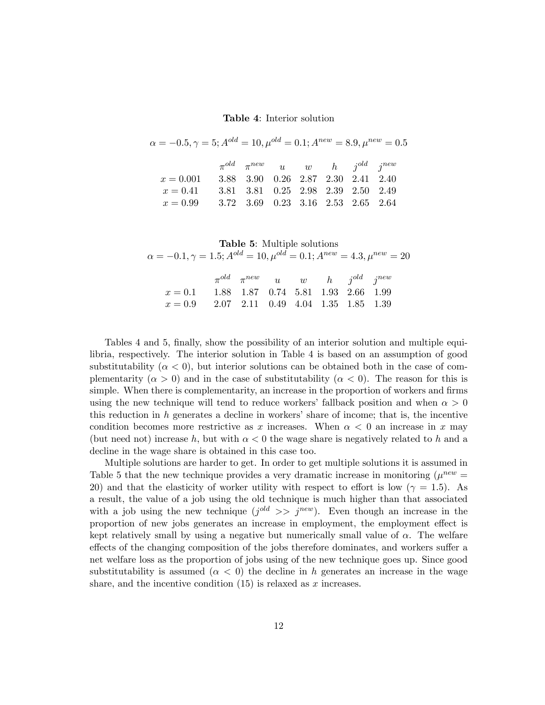Table 4: Interior solution

| $\alpha = -0.5, \gamma = 5; A^{old} = 10, \mu^{old} = 0.1; A^{new} = 8.9, \mu^{new} = 0.5$ |                                                                 |  |  |  |
|--------------------------------------------------------------------------------------------|-----------------------------------------------------------------|--|--|--|
|                                                                                            | $\pi^{old}$ $\pi^{new}$ u w h j <sup>old</sup> j <sup>new</sup> |  |  |  |
| $x = 0.001$                                                                                | 3.88 3.90 0.26 2.87 2.30 2.41 2.40                              |  |  |  |
| $x = 0.41$ 3.81 3.81 0.25 2.98 2.39 2.50 2.49                                              |                                                                 |  |  |  |
| $x = 0.99$ 3.72 3.69 0.23 3.16 2.53 2.65 2.64                                              |                                                                 |  |  |  |

#### Table 5: Multiple solutions  $\alpha = -0.1, \gamma = 1.5; A^{old} = 10, \mu^{old} = 0.1; A^{new} = 4.3, \mu^{new} = 20$  $\pi^{old}$   $\pi$  $\pi^{new}$  u w h j<sup>old</sup> new  $x = 0.1$  1.88 1.87 0.74 5.81 1.93 2.66 1.99

 $x = 0.9$  2.07 2.11 0.49 4.04 1.35 1.85 1.39

Tables 4 and 5, finally, show the possibility of an interior solution and multiple equilibria, respectively. The interior solution in Table 4 is based on an assumption of good substitutability  $(\alpha < 0)$ , but interior solutions can be obtained both in the case of complementarity ( $\alpha > 0$ ) and in the case of substitutability ( $\alpha < 0$ ). The reason for this is simple. When there is complementarity, an increase in the proportion of workers and firms using the new technique will tend to reduce workers' fallback position and when  $\alpha > 0$ this reduction in  $h$  generates a decline in workers' share of income; that is, the incentive condition becomes more restrictive as x increases. When  $\alpha < 0$  an increase in x may (but need not) increase h, but with  $\alpha < 0$  the wage share is negatively related to h and a decline in the wage share is obtained in this case too.

Multiple solutions are harder to get. In order to get multiple solutions it is assumed in Table 5 that the new technique provides a very dramatic increase in monitoring  $(\mu^{new} =$ 20) and that the elasticity of worker utility with respect to effort is low ( $\gamma = 1.5$ ). As a result, the value of a job using the old technique is much higher than that associated with a job using the new technique  $(j^{old} \gg j^{new})$ . Even though an increase in the proportion of new jobs generates an increase in employment, the employment effect is kept relatively small by using a negative but numerically small value of  $\alpha$ . The welfare effects of the changing composition of the jobs therefore dominates, and workers suffer a net welfare loss as the proportion of jobs using of the new technique goes up. Since good substitutability is assumed  $(\alpha < 0)$  the decline in h generates an increase in the wage share, and the incentive condition  $(15)$  is relaxed as x increases.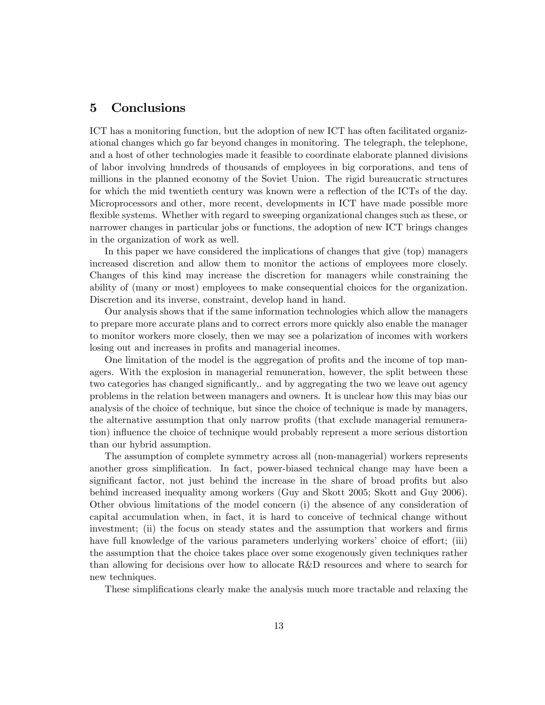#### 5 Conclusions

ICT has a monitoring function, but the adoption of new ICT has often facilitated organizational changes which go far beyond changes in monitoring. The telegraph, the telephone, and a host of other technologies made it feasible to coordinate elaborate planned divisions of labor involving hundreds of thousands of employees in big corporations, and tens of millions in the planned economy of the Soviet Union. The rigid bureaucratic structures for which the mid twentieth century was known were a reflection of the ICTs of the day. Microprocessors and other, more recent, developments in ICT have made possible more flexible systems. Whether with regard to sweeping organizational changes such as these, or narrower changes in particular jobs or functions, the adoption of new ICT brings changes in the organization of work as well.

In this paper we have considered the implications of changes that give (top) managers increased discretion and allow them to monitor the actions of employees more closely. Changes of this kind may increase the discretion for managers while constraining the ability of (many or most) employees to make consequential choices for the organization. Discretion and its inverse, constraint, develop hand in hand.

Our analysis shows that if the same information technologies which allow the managers to prepare more accurate plans and to correct errors more quickly also enable the manager to monitor workers more closely, then we may see a polarization of incomes with workers losing out and increases in profits and managerial incomes.

One limitation of the model is the aggregation of profits and the income of top managers. With the explosion in managerial remuneration, however, the split between these two categories has changed significantly,. and by aggregating the two we leave out agency problems in the relation between managers and owners. It is unclear how this may bias our analysis of the choice of technique, but since the choice of technique is made by managers, the alternative assumption that only narrow profits (that exclude managerial remuneration) influence the choice of technique would probably represent a more serious distortion than our hybrid assumption.

The assumption of complete symmetry across all (non-managerial) workers represents another gross simplification. In fact, power-biased technical change may have been a significant factor, not just behind the increase in the share of broad profits but also behind increased inequality among workers (Guy and Skott 2005; Skott and Guy 2006). Other obvious limitations of the model concern (i) the absence of any consideration of capital accumulation when, in fact, it is hard to conceive of technical change without investment; (ii) the focus on steady states and the assumption that workers and firms have full knowledge of the various parameters underlying workers' choice of effort; (iii) the assumption that the choice takes place over some exogenously given techniques rather than allowing for decisions over how to allocate R&D resources and where to search for new techniques.

These simplifications clearly make the analysis much more tractable and relaxing the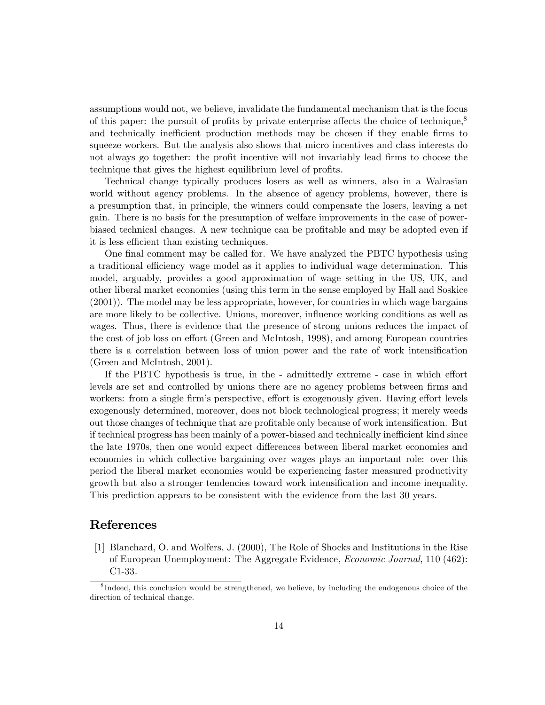assumptions would not, we believe, invalidate the fundamental mechanism that is the focus of this paper: the pursuit of profits by private enterprise affects the choice of technique, $8$ and technically inefficient production methods may be chosen if they enable firms to squeeze workers. But the analysis also shows that micro incentives and class interests do not always go together: the profit incentive will not invariably lead firms to choose the technique that gives the highest equilibrium level of profits.

Technical change typically produces losers as well as winners, also in a Walrasian world without agency problems. In the absence of agency problems, however, there is a presumption that, in principle, the winners could compensate the losers, leaving a net gain. There is no basis for the presumption of welfare improvements in the case of powerbiased technical changes. A new technique can be profitable and may be adopted even if it is less efficient than existing techniques.

One final comment may be called for. We have analyzed the PBTC hypothesis using a traditional efficiency wage model as it applies to individual wage determination. This model, arguably, provides a good approximation of wage setting in the US, UK, and other liberal market economies (using this term in the sense employed by Hall and Soskice (2001)). The model may be less appropriate, however, for countries in which wage bargains are more likely to be collective. Unions, moreover, ináuence working conditions as well as wages. Thus, there is evidence that the presence of strong unions reduces the impact of the cost of job loss on effort (Green and McIntosh, 1998), and among European countries there is a correlation between loss of union power and the rate of work intensification (Green and McIntosh, 2001).

If the PBTC hypothesis is true, in the  $-$  admittedly extreme  $-$  case in which effort levels are set and controlled by unions there are no agency problems between firms and workers: from a single firm's perspective, effort is exogenously given. Having effort levels exogenously determined, moreover, does not block technological progress; it merely weeds out those changes of technique that are profitable only because of work intensification. But if technical progress has been mainly of a power-biased and technically inefficient kind since the late 1970s, then one would expect differences between liberal market economies and economies in which collective bargaining over wages plays an important role: over this period the liberal market economies would be experiencing faster measured productivity growth but also a stronger tendencies toward work intensification and income inequality. This prediction appears to be consistent with the evidence from the last 30 years.

#### References

[1] Blanchard, O. and Wolfers, J. (2000), The Role of Shocks and Institutions in the Rise of European Unemployment: The Aggregate Evidence, Economic Journal, 110 (462): C1-33.

<sup>&</sup>lt;sup>8</sup>Indeed, this conclusion would be strengthened, we believe, by including the endogenous choice of the direction of technical change.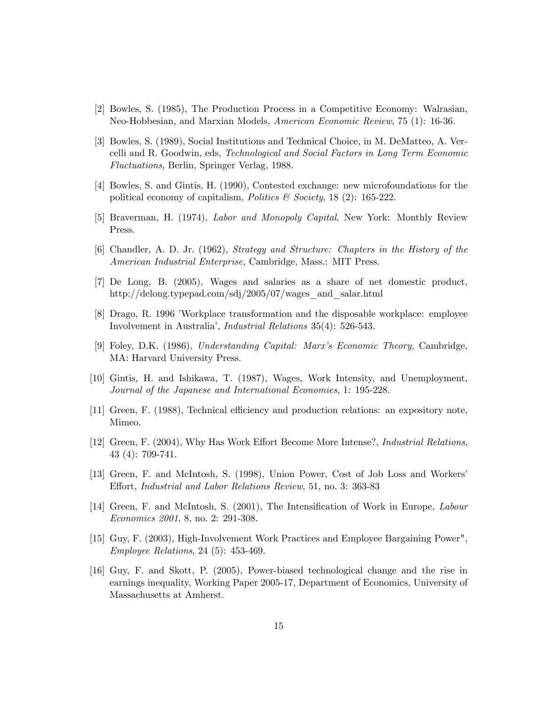- [2] Bowles, S. (1985), The Production Process in a Competitive Economy: Walrasian, Neo-Hobbesian, and Marxian Models, American Economic Review, 75 (1): 16-36.
- [3] Bowles, S. (1989), Social Institutions and Technical Choice, in M. DeMatteo, A. Vercelli and R. Goodwin, eds, Technological and Social Factors in Long Term Economic Fluctuations, Berlin, Springer Verlag, 1988.
- [4] Bowles, S. and Gintis, H. (1990), Contested exchange: new microfoundations for the political economy of capitalism, Politics & Society, 18 (2): 165-222.
- [5] Braverman, H. (1974), Labor and Monopoly Capital, New York: Monthly Review Press.
- [6] Chandler, A. D. Jr. (1962), Strategy and Structure: Chapters in the History of the American Industrial Enterprise, Cambridge, Mass.: MIT Press.
- [7] De Long, B. (2005), Wages and salaries as a share of net domestic product, http://delong.typepad.com/sdj/2005/07/wages\_and\_salar.html
- [8] Drago, R. 1996 íWorkplace transformation and the disposable workplace: employee Involvement in Australiaí, Industrial Relations 35(4): 526-543.
- [9] Foley, D.K. (1986), Understanding Capital: Marxís Economic Theory, Cambridge, MA: Harvard University Press.
- [10] Gintis, H. and Ishikawa, T. (1987), Wages, Work Intensity, and Unemployment, Journal of the Japanese and International Economies, 1: 195-228.
- [11] Green, F. (1988), Technical efficiency and production relations: an expository note, Mimeo.
- [12] Green, F. (2004), Why Has Work Effort Become More Intense?, *Industrial Relations*, 43 (4): 709-741.
- [13] Green, F. and McIntosh, S. (1998), Union Power, Cost of Job Loss and Workersí Effort, *Industrial and Labor Relations Review*, 51, no. 3: 363-83
- [14] Green, F. and McIntosh, S. (2001), The Intensification of Work in Europe, *Labour* Economics 2001, 8, no. 2: 291-308.
- [15] Guy, F. (2003), High-Involvement Work Practices and Employee Bargaining Power", Employee Relations, 24 (5): 453-469.
- [16] Guy, F. and Skott, P. (2005), Power-biased technological change and the rise in earnings inequality, Working Paper 2005-17, Department of Economics, University of Massachusetts at Amherst.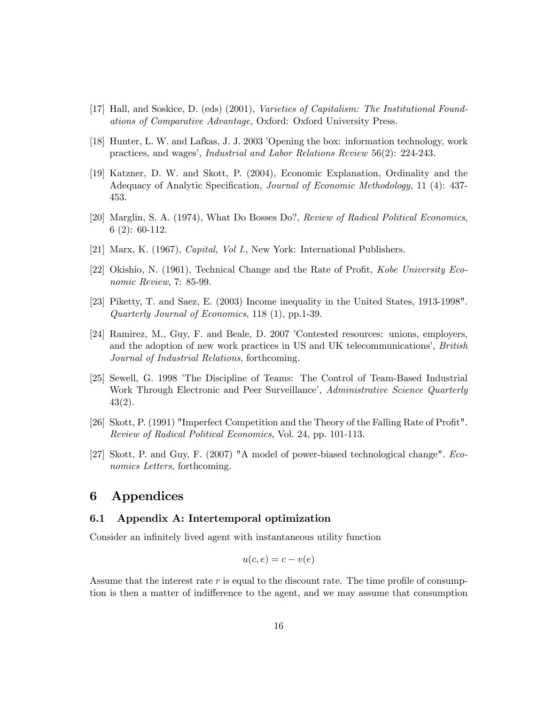- [17] Hall, and Soskice, D. (eds) (2001), Varieties of Capitalism: The Institutional Foundations of Comparative Advantage, Oxford: Oxford University Press.
- [18] Hunter, L. W. and Lafkas, J. J. 2003 íOpening the box: information technology, work practices, and wages', *Industrial and Labor Relations Review*  $56(2)$ :  $224-243$ .
- [19] Katzner, D. W. and Skott, P. (2004), Economic Explanation, Ordinality and the Adequacy of Analytic Specification, *Journal of Economic Methodology*, 11 (4): 437-453.
- [20] Marglin, S. A. (1974), What Do Bosses Do?, Review of Radical Political Economics, 6 (2): 60-112.
- [21] Marx, K. (1967), *Capital, Vol I.*, New York: International Publishers.
- [22] Okishio, N.  $(1961)$ , Technical Change and the Rate of Profit, Kobe University Economic Review, 7: 85-99.
- [23] Piketty, T. and Saez, E. (2003) Income inequality in the United States, 1913-1998". Quarterly Journal of Economics, 118 (1), pp.1-39.
- [24] Ramirez, M., Guy, F. and Beale, D. 2007 *Contested resources: unions, employers,* and the adoption of new work practices in US and UK telecommunications', British Journal of Industrial Relations, forthcoming.
- [25] Sewell, G. 1998 íThe Discipline of Teams: The Control of Team-Based Industrial Work Through Electronic and Peer Surveillance', Administrative Science Quarterly 43(2).
- [26] Skott, P. (1991) "Imperfect Competition and the Theory of the Falling Rate of Profit". Review of Radical Political Economics, Vol. 24, pp. 101-113.
- [27] Skott, P. and Guy, F. (2007) "A model of power-biased technological change". Economics Letters, forthcoming.

#### 6 Appendices

#### 6.1 Appendix A: Intertemporal optimization

Consider an infinitely lived agent with instantaneous utility function

$$
u(c,e) = c - v(e)
$$

Assume that the interest rate  $r$  is equal to the discount rate. The time profile of consumption is then a matter of indifference to the agent, and we may assume that consumption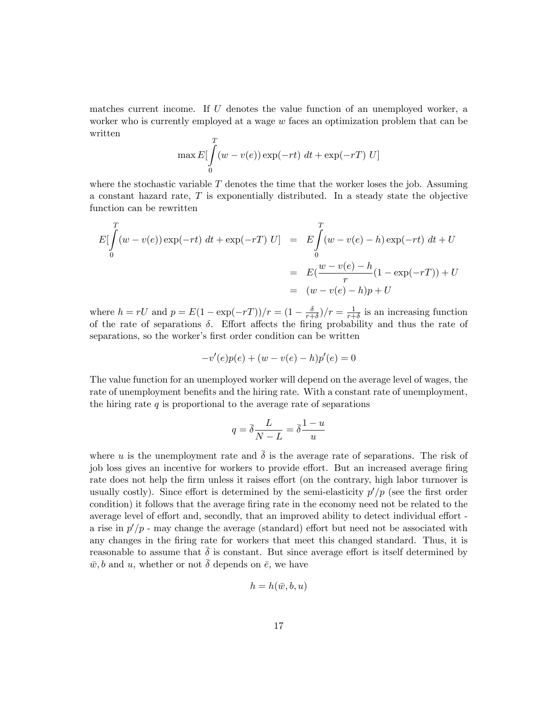matches current income. If U denotes the value function of an unemployed worker, a worker who is currently employed at a wage w faces an optimization problem that can be written

$$
\max_{\substack{v \to 0}} E[\int_0^T (w - v(e)) \exp(-rt) \, dt + \exp(-rT) \, U]
$$

where the stochastic variable  $T$  denotes the time that the worker loses the job. Assuming a constant hazard rate,  $T$  is exponentially distributed. In a steady state the objective function can be rewritten

$$
E[\int_{0}^{T} (w - v(e)) \exp(-rt) dt + \exp(-rT) U] = E\int_{0}^{T} (w - v(e) - h) \exp(-rt) dt + U
$$
  
= 
$$
E(\frac{w - v(e) - h}{r} (1 - \exp(-rT)) + U
$$
  
= 
$$
(w - v(e) - h)p + U
$$

where  $h = rU$  and  $p = E(1 - \exp(-rT))/r = (1 - \frac{\delta}{r+1})$  $\frac{\delta}{r+\delta})/r=\frac{1}{r+1}$  $\frac{1}{r+\delta}$  is an increasing function of the rate of separations  $\delta$ . Effort affects the firing probability and thus the rate of separations, so the worker's first order condition can be written

$$
-v'(e)p(e) + (w - v(e) - h)p'(e) = 0
$$

The value function for an unemployed worker will depend on the average level of wages, the rate of unemployment benefits and the hiring rate. With a constant rate of unemployment, the hiring rate  $q$  is proportional to the average rate of separations

$$
q = \bar{\delta} \frac{L}{N - L} = \bar{\delta} \frac{1 - u}{u}
$$

where u is the unemployment rate and  $\bar{\delta}$  is the average rate of separations. The risk of job loss gives an incentive for workers to provide effort. But an increased average firing rate does not help the firm unless it raises effort (on the contrary, high labor turnover is usually costly). Since effort is determined by the semi-elasticity  $p'/p$  (see the first order condition) it follows that the average firing rate in the economy need not be related to the average level of effort and, secondly, that an improved ability to detect individual effort a rise in  $p'/p$  - may change the average (standard) effort but need not be associated with any changes in the firing rate for workers that meet this changed standard. Thus, it is reasonable to assume that  $\bar{\delta}$  is constant. But since average effort is itself determined by  $\bar{w}, b$  and u, whether or not  $\delta$  depends on  $\bar{e}$ , we have

$$
h=h(\bar{w},b,u)
$$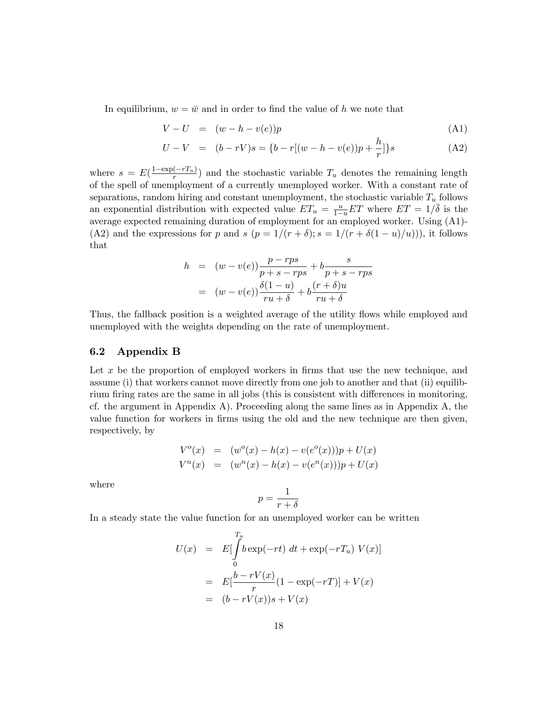In equilibrium,  $w = \bar{w}$  and in order to find the value of h we note that

$$
V - U = (w - h - v(e))p \tag{A1}
$$

$$
U - V = (b - rV)s = \{b - r[(w - h - v(e))p + \frac{h}{r}]\}s
$$
 (A2)

where  $s = E(\frac{1-\exp(-rT_u)}{r})$  and the stochastic variable  $T_u$  denotes the remaining length of the spell of unemployment of a currently unemployed worker. With a constant rate of separations, random hiring and constant unemployment, the stochastic variable  $T_u$  follows an exponential distribution with expected value  $ET_u = \frac{u}{1-u}ET$  where  $ET = 1/\overline{\delta}$  is the average expected remaining duration of employment for an employed worker. Using (A1)- (A2) and the expressions for p and s  $(p = 1/(r + \delta); s = 1/(r + \delta(1 - u)/u))$ , it follows that

$$
h = (w - v(e))\frac{p - rps}{p + s - rps} + b\frac{s}{p + s - rps}
$$
  
= 
$$
(w - v(e))\frac{\delta(1 - u)}{ru + \delta} + b\frac{(r + \delta)u}{ru + \delta}
$$

Thus, the fallback position is a weighted average of the utility flows while employed and unemployed with the weights depending on the rate of unemployment.

#### 6.2 Appendix B

Let  $x$  be the proportion of employed workers in firms that use the new technique, and assume (i) that workers cannot move directly from one job to another and that (ii) equilibrium firing rates are the same in all jobs (this is consistent with differences in monitoring, cf. the argument in Appendix A). Proceeding along the same lines as in Appendix A, the value function for workers in firms using the old and the new technique are then given, respectively, by

$$
V^{o}(x) = (w^{o}(x) - h(x) - v(e^{o}(x)))p + U(x)
$$
  

$$
V^{n}(x) = (w^{n}(x) - h(x) - v(e^{n}(x)))p + U(x)
$$

where

$$
p = \frac{1}{r+\delta}
$$

In a steady state the value function for an unemployed worker can be written

$$
U(x) = E[\int_{0}^{T_u} b \exp(-rt) dt + \exp(-rT_u) V(x)]
$$
  
= 
$$
E[\frac{b - rV(x)}{r} (1 - \exp(-rT)] + V(x)]
$$
  
= 
$$
(b - rV(x))s + V(x)
$$